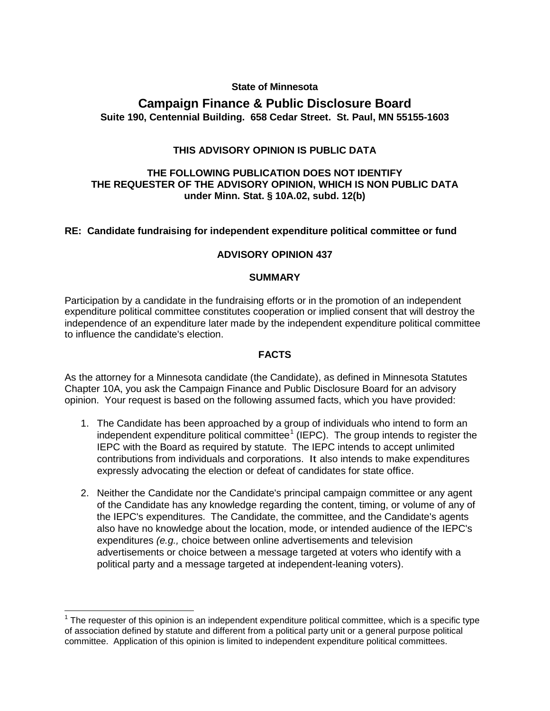#### **State of Minnesota**

# **Campaign Finance & Public Disclosure Board Suite 190, Centennial Building. 658 Cedar Street. St. Paul, MN 55155-1603**

### **THIS ADVISORY OPINION IS PUBLIC DATA**

#### **THE FOLLOWING PUBLICATION DOES NOT IDENTIFY THE REQUESTER OF THE ADVISORY OPINION, WHICH IS NON PUBLIC DATA under Minn. Stat. § 10A.02, subd. 12(b)**

#### **RE: Candidate fundraising for independent expenditure political committee or fund**

#### **ADVISORY OPINION 437**

#### **SUMMARY**

Participation by a candidate in the fundraising efforts or in the promotion of an independent expenditure political committee constitutes cooperation or implied consent that will destroy the independence of an expenditure later made by the independent expenditure political committee to influence the candidate's election.

#### **FACTS**

As the attorney for a Minnesota candidate (the Candidate), as defined in Minnesota Statutes Chapter 10A, you ask the Campaign Finance and Public Disclosure Board for an advisory opinion. Your request is based on the following assumed facts, which you have provided:

- 1. The Candidate has been approached by a group of individuals who intend to form an independent expenditure political committee<sup>[1](#page-0-0)</sup> (IEPC). The group intends to register the IEPC with the Board as required by statute. The IEPC intends to accept unlimited contributions from individuals and corporations. It also intends to make expenditures expressly advocating the election or defeat of candidates for state office.
- 2. Neither the Candidate nor the Candidate's principal campaign committee or any agent of the Candidate has any knowledge regarding the content, timing, or volume of any of the IEPC's expenditures. The Candidate, the committee, and the Candidate's agents also have no knowledge about the location, mode, or intended audience of the IEPC's expenditures *(e.g.,* choice between online advertisements and television advertisements or choice between a message targeted at voters who identify with a political party and a message targeted at independent-leaning voters).

<span id="page-0-0"></span> $1$  The requester of this opinion is an independent expenditure political committee, which is a specific type of association defined by statute and different from a political party unit or a general purpose political committee. Application of this opinion is limited to independent expenditure political committees.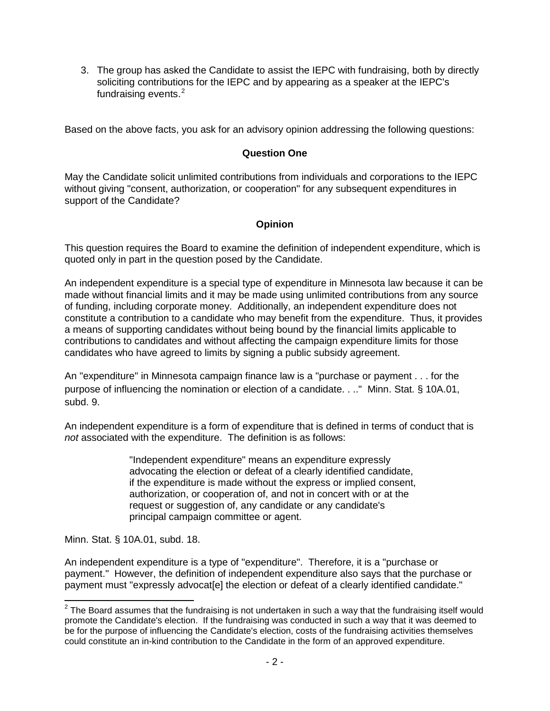3. The group has asked the Candidate to assist the IEPC with fundraising, both by directly soliciting contributions for the IEPC and by appearing as a speaker at the IEPC's fundraising events. $2$ 

Based on the above facts, you ask for an advisory opinion addressing the following questions:

### **Question One**

May the Candidate solicit unlimited contributions from individuals and corporations to the IEPC without giving "consent, authorization, or cooperation" for any subsequent expenditures in support of the Candidate?

### **Opinion**

This question requires the Board to examine the definition of independent expenditure, which is quoted only in part in the question posed by the Candidate.

An independent expenditure is a special type of expenditure in Minnesota law because it can be made without financial limits and it may be made using unlimited contributions from any source of funding, including corporate money. Additionally, an independent expenditure does not constitute a contribution to a candidate who may benefit from the expenditure. Thus, it provides a means of supporting candidates without being bound by the financial limits applicable to contributions to candidates and without affecting the campaign expenditure limits for those candidates who have agreed to limits by signing a public subsidy agreement.

An "expenditure" in Minnesota campaign finance law is a "purchase or payment . . . for the purpose of influencing the nomination or election of a candidate. . .." Minn. Stat. § 10A.01, subd. 9.

An independent expenditure is a form of expenditure that is defined in terms of conduct that is *not* associated with the expenditure. The definition is as follows:

> "Independent expenditure" means an expenditure expressly advocating the election or defeat of a clearly identified candidate, if the expenditure is made without the express or implied consent, authorization, or cooperation of, and not in concert with or at the request or suggestion of, any candidate or any candidate's principal campaign committee or agent.

Minn. Stat. § 10A.01, subd. 18.

An independent expenditure is a type of "expenditure". Therefore, it is a "purchase or payment." However, the definition of independent expenditure also says that the purchase or payment must "expressly advocat[e] the election or defeat of a clearly identified candidate."

<span id="page-1-0"></span> $2$  The Board assumes that the fundraising is not undertaken in such a way that the fundraising itself would promote the Candidate's election. If the fundraising was conducted in such a way that it was deemed to be for the purpose of influencing the Candidate's election, costs of the fundraising activities themselves could constitute an in-kind contribution to the Candidate in the form of an approved expenditure.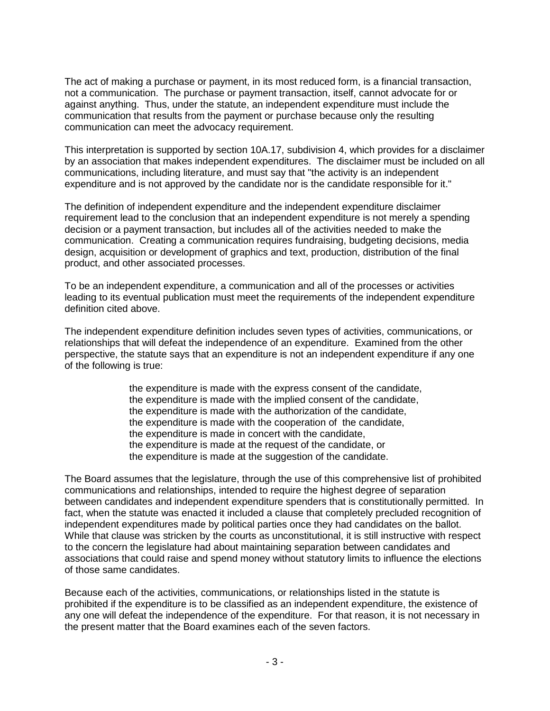The act of making a purchase or payment, in its most reduced form, is a financial transaction, not a communication. The purchase or payment transaction, itself, cannot advocate for or against anything. Thus, under the statute, an independent expenditure must include the communication that results from the payment or purchase because only the resulting communication can meet the advocacy requirement.

This interpretation is supported by section 10A.17, subdivision 4, which provides for a disclaimer by an association that makes independent expenditures. The disclaimer must be included on all communications, including literature, and must say that "the activity is an independent expenditure and is not approved by the candidate nor is the candidate responsible for it."

The definition of independent expenditure and the independent expenditure disclaimer requirement lead to the conclusion that an independent expenditure is not merely a spending decision or a payment transaction, but includes all of the activities needed to make the communication. Creating a communication requires fundraising, budgeting decisions, media design, acquisition or development of graphics and text, production, distribution of the final product, and other associated processes.

To be an independent expenditure, a communication and all of the processes or activities leading to its eventual publication must meet the requirements of the independent expenditure definition cited above.

The independent expenditure definition includes seven types of activities, communications, or relationships that will defeat the independence of an expenditure. Examined from the other perspective, the statute says that an expenditure is not an independent expenditure if any one of the following is true:

> the expenditure is made with the express consent of the candidate, the expenditure is made with the implied consent of the candidate, the expenditure is made with the authorization of the candidate, the expenditure is made with the cooperation of the candidate, the expenditure is made in concert with the candidate, the expenditure is made at the request of the candidate, or the expenditure is made at the suggestion of the candidate.

The Board assumes that the legislature, through the use of this comprehensive list of prohibited communications and relationships, intended to require the highest degree of separation between candidates and independent expenditure spenders that is constitutionally permitted. In fact, when the statute was enacted it included a clause that completely precluded recognition of independent expenditures made by political parties once they had candidates on the ballot. While that clause was stricken by the courts as unconstitutional, it is still instructive with respect to the concern the legislature had about maintaining separation between candidates and associations that could raise and spend money without statutory limits to influence the elections of those same candidates.

Because each of the activities, communications, or relationships listed in the statute is prohibited if the expenditure is to be classified as an independent expenditure, the existence of any one will defeat the independence of the expenditure. For that reason, it is not necessary in the present matter that the Board examines each of the seven factors.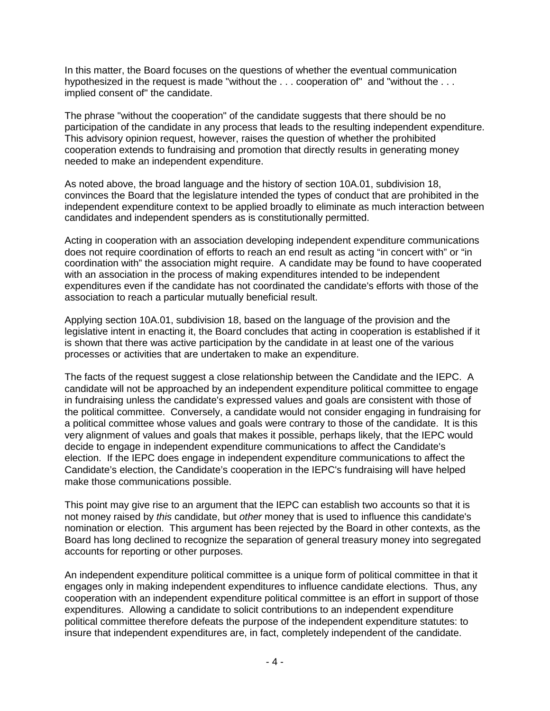In this matter, the Board focuses on the questions of whether the eventual communication hypothesized in the request is made "without the . . . cooperation of" and "without the . . . implied consent of" the candidate.

The phrase "without the cooperation" of the candidate suggests that there should be no participation of the candidate in any process that leads to the resulting independent expenditure. This advisory opinion request, however, raises the question of whether the prohibited cooperation extends to fundraising and promotion that directly results in generating money needed to make an independent expenditure.

As noted above, the broad language and the history of section 10A.01, subdivision 18, convinces the Board that the legislature intended the types of conduct that are prohibited in the independent expenditure context to be applied broadly to eliminate as much interaction between candidates and independent spenders as is constitutionally permitted.

Acting in cooperation with an association developing independent expenditure communications does not require coordination of efforts to reach an end result as acting "in concert with" or "in coordination with" the association might require. A candidate may be found to have cooperated with an association in the process of making expenditures intended to be independent expenditures even if the candidate has not coordinated the candidate's efforts with those of the association to reach a particular mutually beneficial result.

Applying section 10A.01, subdivision 18, based on the language of the provision and the legislative intent in enacting it, the Board concludes that acting in cooperation is established if it is shown that there was active participation by the candidate in at least one of the various processes or activities that are undertaken to make an expenditure.

The facts of the request suggest a close relationship between the Candidate and the IEPC. A candidate will not be approached by an independent expenditure political committee to engage in fundraising unless the candidate's expressed values and goals are consistent with those of the political committee. Conversely, a candidate would not consider engaging in fundraising for a political committee whose values and goals were contrary to those of the candidate. It is this very alignment of values and goals that makes it possible, perhaps likely, that the IEPC would decide to engage in independent expenditure communications to affect the Candidate's election. If the IEPC does engage in independent expenditure communications to affect the Candidate's election, the Candidate's cooperation in the IEPC's fundraising will have helped make those communications possible.

This point may give rise to an argument that the IEPC can establish two accounts so that it is not money raised by *this* candidate, but *other* money that is used to influence this candidate's nomination or election. This argument has been rejected by the Board in other contexts, as the Board has long declined to recognize the separation of general treasury money into segregated accounts for reporting or other purposes.

An independent expenditure political committee is a unique form of political committee in that it engages only in making independent expenditures to influence candidate elections. Thus, any cooperation with an independent expenditure political committee is an effort in support of those expenditures. Allowing a candidate to solicit contributions to an independent expenditure political committee therefore defeats the purpose of the independent expenditure statutes: to insure that independent expenditures are, in fact, completely independent of the candidate.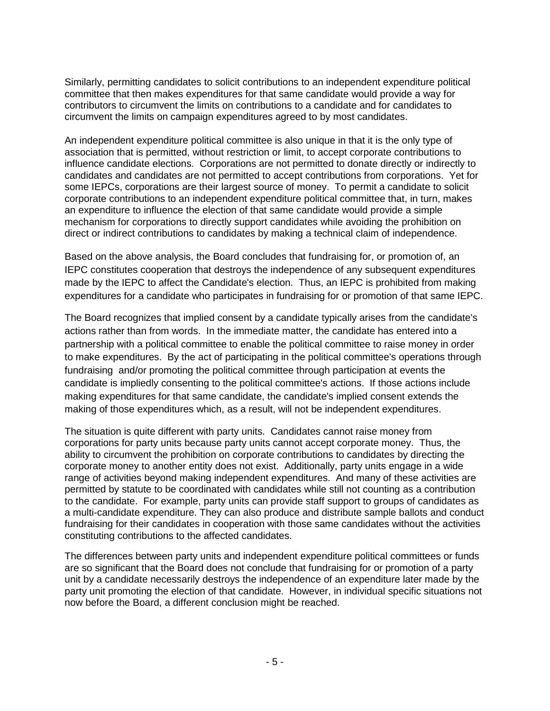Similarly, permitting candidates to solicit contributions to an independent expenditure political committee that then makes expenditures for that same candidate would provide a way for contributors to circumvent the limits on contributions to a candidate and for candidates to circumvent the limits on campaign expenditures agreed to by most candidates.

An independent expenditure political committee is also unique in that it is the only type of association that is permitted, without restriction or limit, to accept corporate contributions to influence candidate elections. Corporations are not permitted to donate directly or indirectly to candidates and candidates are not permitted to accept contributions from corporations. Yet for some IEPCs, corporations are their largest source of money. To permit a candidate to solicit corporate contributions to an independent expenditure political committee that, in turn, makes an expenditure to influence the election of that same candidate would provide a simple mechanism for corporations to directly support candidates while avoiding the prohibition on direct or indirect contributions to candidates by making a technical claim of independence.

Based on the above analysis, the Board concludes that fundraising for, or promotion of, an IEPC constitutes cooperation that destroys the independence of any subsequent expenditures made by the IEPC to affect the Candidate's election. Thus, an IEPC is prohibited from making expenditures for a candidate who participates in fundraising for or promotion of that same IEPC.

The Board recognizes that implied consent by a candidate typically arises from the candidate's actions rather than from words. In the immediate matter, the candidate has entered into a partnership with a political committee to enable the political committee to raise money in order to make expenditures. By the act of participating in the political committee's operations through fundraising and/or promoting the political committee through participation at events the candidate is impliedly consenting to the political committee's actions. If those actions include making expenditures for that same candidate, the candidate's implied consent extends the making of those expenditures which, as a result, will not be independent expenditures.

The situation is quite different with party units. Candidates cannot raise money from corporations for party units because party units cannot accept corporate money. Thus, the ability to circumvent the prohibition on corporate contributions to candidates by directing the corporate money to another entity does not exist. Additionally, party units engage in a wide range of activities beyond making independent expenditures. And many of these activities are permitted by statute to be coordinated with candidates while still not counting as a contribution to the candidate. For example, party units can provide staff support to groups of candidates as a multi-candidate expenditure. They can also produce and distribute sample ballots and conduct fundraising for their candidates in cooperation with those same candidates without the activities constituting contributions to the affected candidates.

The differences between party units and independent expenditure political committees or funds are so significant that the Board does not conclude that fundraising for or promotion of a party unit by a candidate necessarily destroys the independence of an expenditure later made by the party unit promoting the election of that candidate. However, in individual specific situations not now before the Board, a different conclusion might be reached.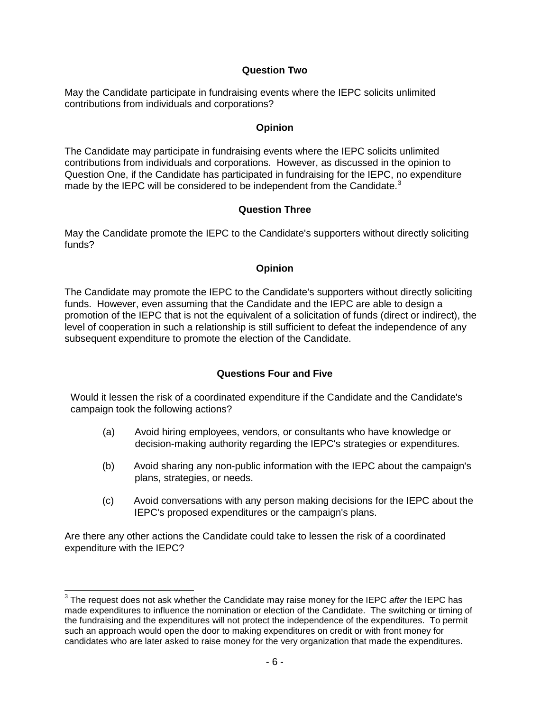### **Question Two**

May the Candidate participate in fundraising events where the IEPC solicits unlimited contributions from individuals and corporations?

### **Opinion**

The Candidate may participate in fundraising events where the IEPC solicits unlimited contributions from individuals and corporations. However, as discussed in the opinion to Question One, if the Candidate has participated in fundraising for the IEPC, no expenditure made by the IEPC will be considered to be independent from the Candidate.<sup>[3](#page-5-0)</sup>

### **Question Three**

May the Candidate promote the IEPC to the Candidate's supporters without directly soliciting funds?

### **Opinion**

The Candidate may promote the IEPC to the Candidate's supporters without directly soliciting funds. However, even assuming that the Candidate and the IEPC are able to design a promotion of the IEPC that is not the equivalent of a solicitation of funds (direct or indirect), the level of cooperation in such a relationship is still sufficient to defeat the independence of any subsequent expenditure to promote the election of the Candidate.

# **Questions Four and Five**

Would it lessen the risk of a coordinated expenditure if the Candidate and the Candidate's campaign took the following actions?

- (a) Avoid hiring employees, vendors, or consultants who have knowledge or decision-making authority regarding the IEPC's strategies or expenditures.
- (b) Avoid sharing any non-public information with the IEPC about the campaign's plans, strategies, or needs.
- (c) Avoid conversations with any person making decisions for the IEPC about the IEPC's proposed expenditures or the campaign's plans.

Are there any other actions the Candidate could take to lessen the risk of a coordinated expenditure with the IEPC?

<span id="page-5-0"></span> <sup>3</sup> The request does not ask whether the Candidate may raise money for the IEPC *after* the IEPC has made expenditures to influence the nomination or election of the Candidate. The switching or timing of the fundraising and the expenditures will not protect the independence of the expenditures. To permit such an approach would open the door to making expenditures on credit or with front money for candidates who are later asked to raise money for the very organization that made the expenditures.